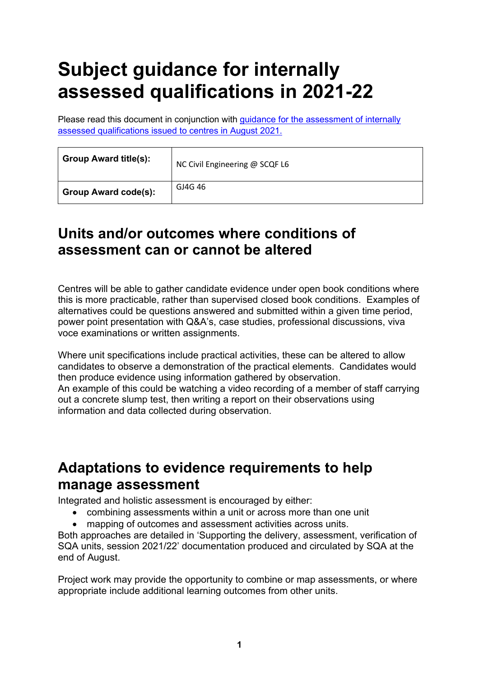## **Subject guidance for internally assessed qualifications in 2021-22**

Please read this document in conjunction with [guidance for the assessment of internally](https://www.sqa.org.uk/sqa/95044.html)  [assessed qualifications issued to centres in August 2021.](https://www.sqa.org.uk/sqa/95044.html)

| <b>Group Award title(s):</b> | NC Civil Engineering @ SCQF L6 |
|------------------------------|--------------------------------|
| <b>Group Award code(s):</b>  | GJ4G 46                        |

## **Units and/or outcomes where conditions of assessment can or cannot be altered**

Centres will be able to gather candidate evidence under open book conditions where this is more practicable, rather than supervised closed book conditions. Examples of alternatives could be questions answered and submitted within a given time period, power point presentation with Q&A's, case studies, professional discussions, viva voce examinations or written assignments.

Where unit specifications include practical activities, these can be altered to allow candidates to observe a demonstration of the practical elements. Candidates would then produce evidence using information gathered by observation. An example of this could be watching a video recording of a member of staff carrying out a concrete slump test, then writing a report on their observations using information and data collected during observation.

## **Adaptations to evidence requirements to help manage assessment**

Integrated and holistic assessment is encouraged by either:

- combining assessments within a unit or across more than one unit
- mapping of outcomes and assessment activities across units.

Both approaches are detailed in 'Supporting the delivery, assessment, verification of SQA units, session 2021/22' documentation produced and circulated by SQA at the end of August.

Project work may provide the opportunity to combine or map assessments, or where appropriate include additional learning outcomes from other units.